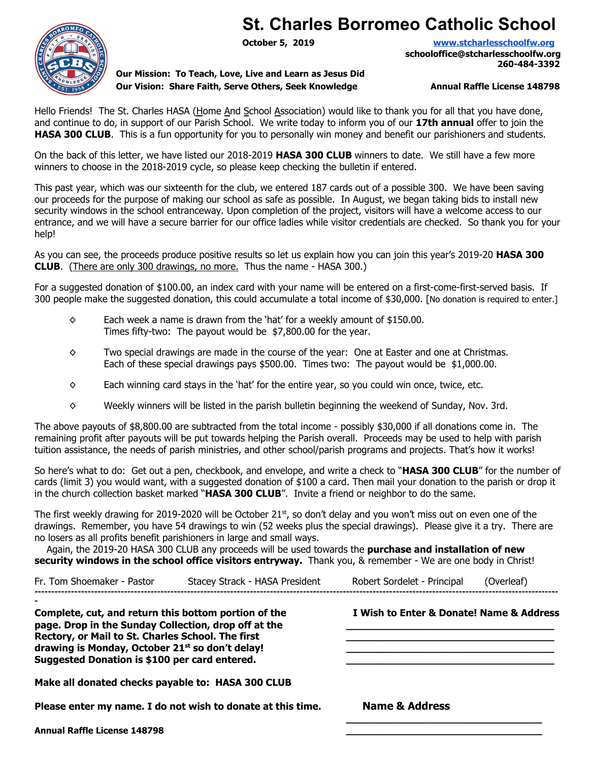## **St. Charles Borromeo Catholic School**



**Our Mission: To Teach, Love, Live and Learn as Jesus Did Our Vision: Share Faith, Serve Others, Seek Knowledge Annual Raffle License 148798** 

**October 5, 2019 [www.stcharlesschoolfw.org](http://www.stcharlesschoolfw.org/) schooloffice@stcharlesschoolfw.org 260-484-3392**

Hello Friends! The St. Charles HASA (Home And School Association) would like to thank you for all that you have done, and continue to do, in support of our Parish School. We write today to inform you of our **17th annual** offer to join the **HASA 300 CLUB**. This is a fun opportunity for you to personally win money and benefit our parishioners and students.

On the back of this letter, we have listed our 2018-2019 **HASA 300 CLUB** winners to date. We still have a few more winners to choose in the 2018-2019 cycle, so please keep checking the bulletin if entered.

This past year, which was our sixteenth for the club, we entered 187 cards out of a possible 300. We have been saving our proceeds for the purpose of making our school as safe as possible. In August, we began taking bids to install new security windows in the school entranceway. Upon completion of the project, visitors will have a welcome access to our entrance, and we will have a secure barrier for our office ladies while visitor credentials are checked. So thank you for your help!

As you can see, the proceeds produce positive results so let us explain how you can join this year's 2019-20 **HASA 300 CLUB**. (There are only 300 drawings, no more. Thus the name - HASA 300.)

For a suggested donation of \$100.00, an index card with your name will be entered on a first-come-first-served basis. If 300 people make the suggested donation, this could accumulate a total income of \$30,000. [No donation is required to enter.]

- $\diamond$  Each week a name is drawn from the 'hat' for a weekly amount of \$150.00. Times fifty-two: The payout would be \$7,800.00 for the year.
- ◊ Two special drawings are made in the course of the year: One at Easter and one at Christmas. Each of these special drawings pays \$500.00. Times two: The payout would be \$1,000.00.
- $\diamond$  Each winning card stays in the 'hat' for the entire year, so you could win once, twice, etc.
- $\diamond$  Weekly winners will be listed in the parish bulletin beginning the weekend of Sunday, Nov. 3rd.

The above payouts of \$8,800.00 are subtracted from the total income - possibly \$30,000 if all donations come in. The remaining profit after payouts will be put towards helping the Parish overall. Proceeds may be used to help with parish tuition assistance, the needs of parish ministries, and other school/parish programs and projects. That's how it works!

So here's what to do: Get out a pen, checkbook, and envelope, and write a check to "**HASA 300 CLUB**" for the number of cards (limit 3) you would want, with a suggested donation of \$100 a card. Then mail your donation to the parish or drop it in the church collection basket marked "**HASA 300 CLUB**". Invite a friend or neighbor to do the same.

The first weekly drawing for 2019-2020 will be October 21<sup>st</sup>, so don't delay and you won't miss out on even one of the drawings. Remember, you have 54 drawings to win (52 weeks plus the special drawings). Please give it a try. There are no losers as all profits benefit parishioners in large and small ways.

Again, the 2019-20 HASA 300 CLUB any proceeds will be used towards the **purchase and installation of new security windows in the school office visitors entryway.** Thank you, & remember - We are one body in Christ!

| Fr. Tom Shoemaker - Pastor                                                                                                                                                                                                                                                        | Stacey Strack - HASA President                              | Robert Sordelet - Principal                        | (Overleaf) |  |
|-----------------------------------------------------------------------------------------------------------------------------------------------------------------------------------------------------------------------------------------------------------------------------------|-------------------------------------------------------------|----------------------------------------------------|------------|--|
| Complete, cut, and return this bottom portion of the<br>page. Drop in the Sunday Collection, drop off at the<br>Rectory, or Mail to St. Charles School. The first<br>drawing is Monday, October 21 <sup>st</sup> so don't delay!<br>Suggested Donation is \$100 per card entered. |                                                             | <b>EX</b> I Wish to Enter & Donate! Name & Address |            |  |
| Make all donated checks payable to: HASA 300 CLUB                                                                                                                                                                                                                                 |                                                             |                                                    |            |  |
|                                                                                                                                                                                                                                                                                   | Please enter my name. I do not wish to donate at this time. | <b>EX Name &amp; Address</b>                       |            |  |
| <b>Annual Raffle License 148798</b>                                                                                                                                                                                                                                               |                                                             |                                                    |            |  |